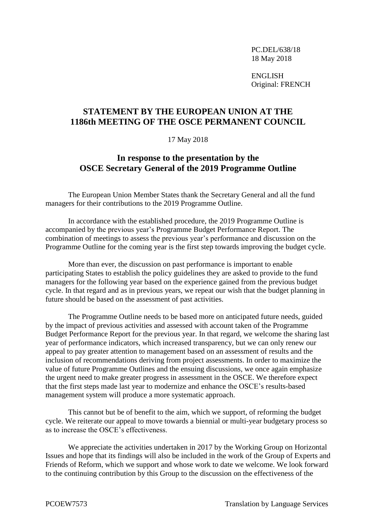PC.DEL/638/18 18 May 2018

ENGLISH Original: FRENCH

## **STATEMENT BY THE EUROPEAN UNION AT THE 1186th MEETING OF THE OSCE PERMANENT COUNCIL**

## 17 May 2018

## **In response to the presentation by the OSCE Secretary General of the 2019 Programme Outline**

The European Union Member States thank the Secretary General and all the fund managers for their contributions to the 2019 Programme Outline.

In accordance with the established procedure, the 2019 Programme Outline is accompanied by the previous year's Programme Budget Performance Report. The combination of meetings to assess the previous year's performance and discussion on the Programme Outline for the coming year is the first step towards improving the budget cycle.

More than ever, the discussion on past performance is important to enable participating States to establish the policy guidelines they are asked to provide to the fund managers for the following year based on the experience gained from the previous budget cycle. In that regard and as in previous years, we repeat our wish that the budget planning in future should be based on the assessment of past activities.

The Programme Outline needs to be based more on anticipated future needs, guided by the impact of previous activities and assessed with account taken of the Programme Budget Performance Report for the previous year. In that regard, we welcome the sharing last year of performance indicators, which increased transparency, but we can only renew our appeal to pay greater attention to management based on an assessment of results and the inclusion of recommendations deriving from project assessments. In order to maximize the value of future Programme Outlines and the ensuing discussions, we once again emphasize the urgent need to make greater progress in assessment in the OSCE. We therefore expect that the first steps made last year to modernize and enhance the OSCE's results-based management system will produce a more systematic approach.

This cannot but be of benefit to the aim, which we support, of reforming the budget cycle. We reiterate our appeal to move towards a biennial or multi-year budgetary process so as to increase the OSCE's effectiveness.

We appreciate the activities undertaken in 2017 by the Working Group on Horizontal Issues and hope that its findings will also be included in the work of the Group of Experts and Friends of Reform, which we support and whose work to date we welcome. We look forward to the continuing contribution by this Group to the discussion on the effectiveness of the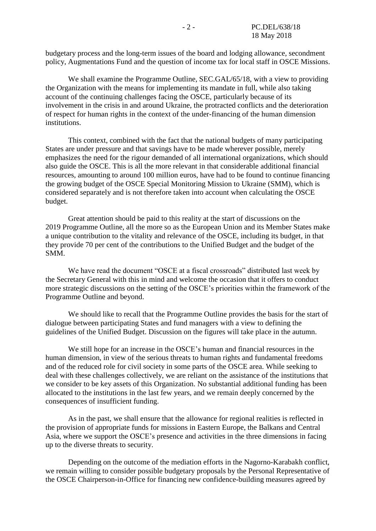budgetary process and the long-term issues of the board and lodging allowance, secondment policy, Augmentations Fund and the question of income tax for local staff in OSCE Missions.

We shall examine the Programme Outline, SEC.GAL/65/18, with a view to providing the Organization with the means for implementing its mandate in full, while also taking account of the continuing challenges facing the OSCE, particularly because of its involvement in the crisis in and around Ukraine, the protracted conflicts and the deterioration of respect for human rights in the context of the under-financing of the human dimension institutions.

This context, combined with the fact that the national budgets of many participating States are under pressure and that savings have to be made wherever possible, merely emphasizes the need for the rigour demanded of all international organizations, which should also guide the OSCE. This is all the more relevant in that considerable additional financial resources, amounting to around 100 million euros, have had to be found to continue financing the growing budget of the OSCE Special Monitoring Mission to Ukraine (SMM), which is considered separately and is not therefore taken into account when calculating the OSCE budget.

Great attention should be paid to this reality at the start of discussions on the 2019 Programme Outline, all the more so as the European Union and its Member States make a unique contribution to the vitality and relevance of the OSCE, including its budget, in that they provide 70 per cent of the contributions to the Unified Budget and the budget of the SMM.

We have read the document "OSCE at a fiscal crossroads" distributed last week by the Secretary General with this in mind and welcome the occasion that it offers to conduct more strategic discussions on the setting of the OSCE's priorities within the framework of the Programme Outline and beyond.

We should like to recall that the Programme Outline provides the basis for the start of dialogue between participating States and fund managers with a view to defining the guidelines of the Unified Budget. Discussion on the figures will take place in the autumn.

We still hope for an increase in the OSCE's human and financial resources in the human dimension, in view of the serious threats to human rights and fundamental freedoms and of the reduced role for civil society in some parts of the OSCE area. While seeking to deal with these challenges collectively, we are reliant on the assistance of the institutions that we consider to be key assets of this Organization. No substantial additional funding has been allocated to the institutions in the last few years, and we remain deeply concerned by the consequences of insufficient funding.

As in the past, we shall ensure that the allowance for regional realities is reflected in the provision of appropriate funds for missions in Eastern Europe, the Balkans and Central Asia, where we support the OSCE's presence and activities in the three dimensions in facing up to the diverse threats to security.

Depending on the outcome of the mediation efforts in the Nagorno-Karabakh conflict, we remain willing to consider possible budgetary proposals by the Personal Representative of the OSCE Chairperson-in-Office for financing new confidence-building measures agreed by